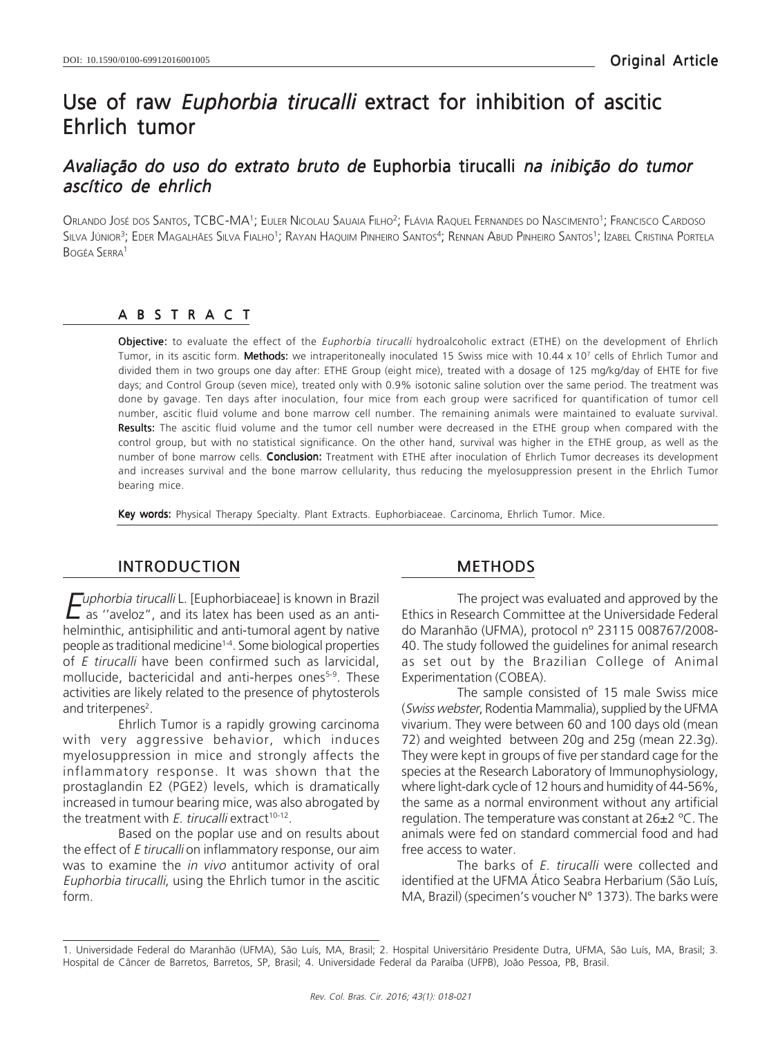# Use of raw Euphorbia tirucalli extract for inhibition of ascitic Ehrlich tumor

## Avaliação do uso do extrato bruto de Euphorbia tirucalli na inibição do tumor ascítico de ehrlich

Orlando José dos Santos, TCBC-MA<sup>1</sup>; Euler Nicolau Sauaia Filho<sup>2</sup>; Flávia Raquel Fernandes do Nascimento<sup>1</sup>; Francisco Cardoso Silva Júnior<sup>3</sup>; Eder Magalhães Silva Fialho<sup>1</sup>; Rayan Haquim Pinheiro Santos<sup>4</sup>; Rennan Abud Pinheiro Santos<sup>1</sup>; Izabel Cristina Portela BOGÉA SERRA<sup>1</sup>

#### ABSTRACT

Objective: to evaluate the effect of the Euphorbia tirucalli hydroalcoholic extract (ETHE) on the development of Ehrlich Tumor, in its ascitic form. **Methods:** we intraperitoneally inoculated 15 Swiss mice with 10.44 x 10<sup>7</sup> cells of Ehrlich Tumor and divided them in two groups one day after: ETHE Group (eight mice), treated with a dosage of 125 mg/kg/day of EHTE for five days; and Control Group (seven mice), treated only with 0.9% isotonic saline solution over the same period. The treatment was done by gavage. Ten days after inoculation, four mice from each group were sacrificed for quantification of tumor cell number, ascitic fluid volume and bone marrow cell number. The remaining animals were maintained to evaluate survival. Results: The ascitic fluid volume and the tumor cell number were decreased in the ETHE group when compared with the control group, but with no statistical significance. On the other hand, survival was higher in the ETHE group, as well as the number of bone marrow cells. Conclusion: Treatment with ETHE after inoculation of Ehrlich Tumor decreases its development and increases survival and the bone marrow cellularity, thus reducing the myelosuppression present in the Ehrlich Tumor bearing mice.

Key words: Physical Therapy Specialty. Plant Extracts. Euphorbiaceae. Carcinoma, Ehrlich Tumor. Mice.

### INTRODUCTION

 $E$ uphorbia tirucalli L. [Euphorbiaceae] is known in Brazil<br> $E$  as "aveloz", and its latex has been used as an anti as ''aveloz", and its latex has been used as an antihelminthic, antisiphilitic and anti-tumoral agent by native people as traditional medicine1-4. Some biological properties of E tirucalli have been confirmed such as larvicidal, mollucide, bactericidal and anti-herpes ones<sup>5-9</sup>. These activities are likely related to the presence of phytosterols and triterpenes<sup>2</sup>.

Ehrlich Tumor is a rapidly growing carcinoma with very aggressive behavior, which induces myelosuppression in mice and strongly affects the inflammatory response. It was shown that the prostaglandin E2 (PGE2) levels, which is dramatically increased in tumour bearing mice, was also abrogated by the treatment with E. tirucalli extract<sup>10-12</sup>.

Based on the poplar use and on results about the effect of E tirucalli on inflammatory response, our aim was to examine the in vivo antitumor activity of oral Euphorbia tirucalli, using the Ehrlich tumor in the ascitic form.

## METHODS

The project was evaluated and approved by the Ethics in Research Committee at the Universidade Federal do Maranhão (UFMA), protocol nº 23115 008767/2008- 40. The study followed the guidelines for animal research as set out by the Brazilian College of Animal Experimentation (COBEA).

The sample consisted of 15 male Swiss mice (Swiss webster, Rodentia Mammalia), supplied by the UFMA vivarium. They were between 60 and 100 days old (mean 72) and weighted between 20g and 25g (mean 22.3g). They were kept in groups of five per standard cage for the species at the Research Laboratory of Immunophysiology, where light-dark cycle of 12 hours and humidity of 44-56%, the same as a normal environment without any artificial regulation. The temperature was constant at 26±2 ºC. The animals were fed on standard commercial food and had free access to water.

The barks of E. tirucalli were collected and identified at the UFMA Ático Seabra Herbarium (São Luís, MA, Brazil) (specimen's voucher N° 1373). The barks were

<sup>1.</sup> Universidade Federal do Maranhão (UFMA), São Luís, MA, Brasil; 2. Hospital Universitário Presidente Dutra, UFMA, São Luís, MA, Brasil; 3. Hospital de Câncer de Barretos, Barretos, SP, Brasil; 4. Universidade Federal da Paraíba (UFPB), João Pessoa, PB, Brasil.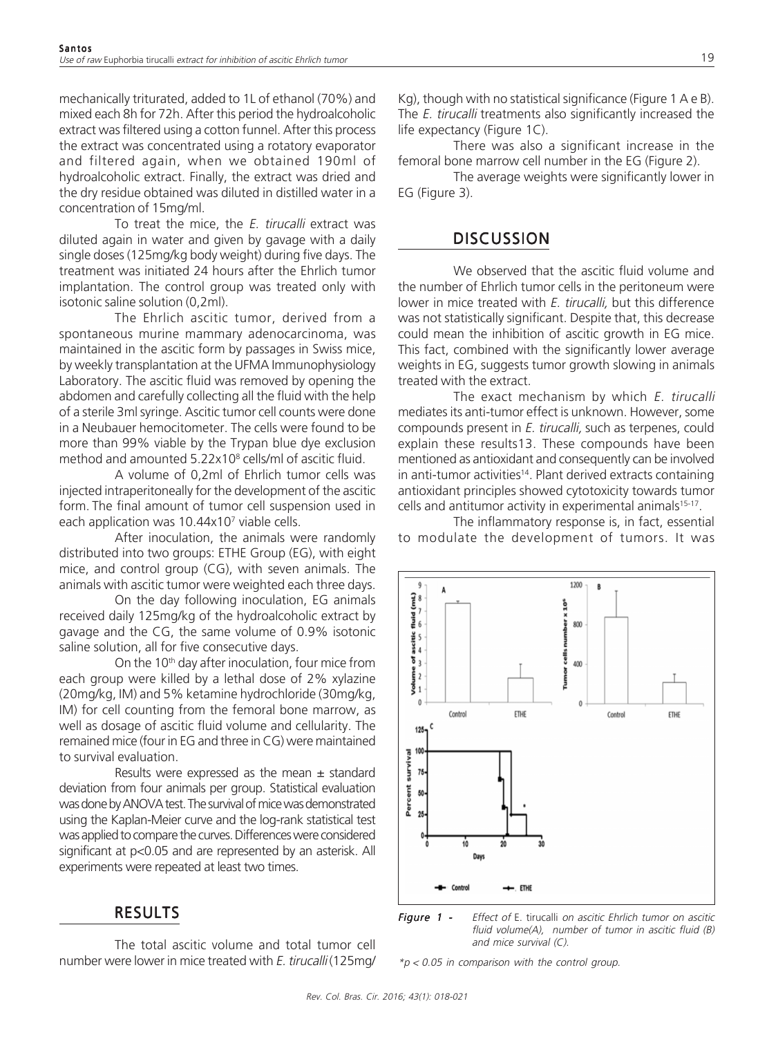mechanically triturated, added to 1L of ethanol (70%) and mixed each 8h for 72h. After this period the hydroalcoholic extract was filtered using a cotton funnel. After this process the extract was concentrated using a rotatory evaporator and filtered again, when we obtained 190ml of hydroalcoholic extract. Finally, the extract was dried and the dry residue obtained was diluted in distilled water in a concentration of 15mg/ml.

To treat the mice, the  $E$ . tirucalli extract was diluted again in water and given by gavage with a daily single doses (125mg/kg body weight) during five days. The treatment was initiated 24 hours after the Ehrlich tumor implantation. The control group was treated only with isotonic saline solution (0,2ml).

The Ehrlich ascitic tumor, derived from a spontaneous murine mammary adenocarcinoma, was maintained in the ascitic form by passages in Swiss mice, by weekly transplantation at the UFMA Immunophysiology Laboratory. The ascitic fluid was removed by opening the abdomen and carefully collecting all the fluid with the help of a sterile 3ml syringe. Ascitic tumor cell counts were done in a Neubauer hemocitometer. The cells were found to be more than 99% viable by the Trypan blue dye exclusion method and amounted 5.22x10<sup>8</sup> cells/ml of ascitic fluid.

A volume of 0,2ml of Ehrlich tumor cells was injected intraperitoneally for the development of the ascitic form. The final amount of tumor cell suspension used in each application was 10.44x10<sup>7</sup> viable cells.

After inoculation, the animals were randomly distributed into two groups: ETHE Group (EG), with eight mice, and control group (CG), with seven animals. The animals with ascitic tumor were weighted each three days.

On the day following inoculation, EG animals received daily 125mg/kg of the hydroalcoholic extract by gavage and the CG, the same volume of 0.9% isotonic saline solution, all for five consecutive days.

On the  $10<sup>th</sup>$  day after inoculation, four mice from each group were killed by a lethal dose of 2% xylazine (20mg/kg, IM) and 5% ketamine hydrochloride (30mg/kg, IM) for cell counting from the femoral bone marrow, as well as dosage of ascitic fluid volume and cellularity. The remained mice (four in EG and three in CG) were maintained to survival evaluation.

Results were expressed as the mean  $\pm$  standard deviation from four animals per group. Statistical evaluation was done by ANOVA test. The survival of mice was demonstrated using the Kaplan-Meier curve and the log-rank statistical test was applied to compare the curves. Differences were considered significant at p<0.05 and are represented by an asterisk. All experiments were repeated at least two times.

#### RESULTS

The total ascitic volume and total tumor cell number were lower in mice treated with E. tirucalli (125mg/

Kg), though with no statistical significance (Figure 1 A e B). The E. tirucalli treatments also significantly increased the life expectancy (Figure 1C).

There was also a significant increase in the femoral bone marrow cell number in the EG (Figure 2).

The average weights were significantly lower in EG (Figure 3).

#### **DISCUSSION**

We observed that the ascitic fluid volume and the number of Ehrlich tumor cells in the peritoneum were lower in mice treated with *E. tirucalli*, but this difference was not statistically significant. Despite that, this decrease could mean the inhibition of ascitic growth in EG mice. This fact, combined with the significantly lower average weights in EG, suggests tumor growth slowing in animals treated with the extract.

The exact mechanism by which E. tirucalli mediates its anti-tumor effect is unknown. However, some compounds present in E. tirucalli, such as terpenes, could explain these results13. These compounds have been mentioned as antioxidant and consequently can be involved in anti-tumor activities<sup>14</sup>. Plant derived extracts containing antioxidant principles showed cytotoxicity towards tumor cells and antitumor activity in experimental animals<sup>15-17</sup>.

The inflammatory response is, in fact, essential to modulate the development of tumors. It was

1200

 $10<sup>6</sup>$ 800

 $\frac{2}{3}$ 400  $\overline{B}$ 

Control

**FTHE** 



 $*p$  < 0.05 in comparison with the control group.

**FTHE** 

 $\mathbf{Q}$ 

 $\frac{4}{3}$  and (mL)<br> $\approx$ 

 $\frac{1}{2}$  of ascitic 1

 $\sum_{i=1}^{n}$  $\bf{0}$ 

> $125<sub>7</sub>$ 100

A

Control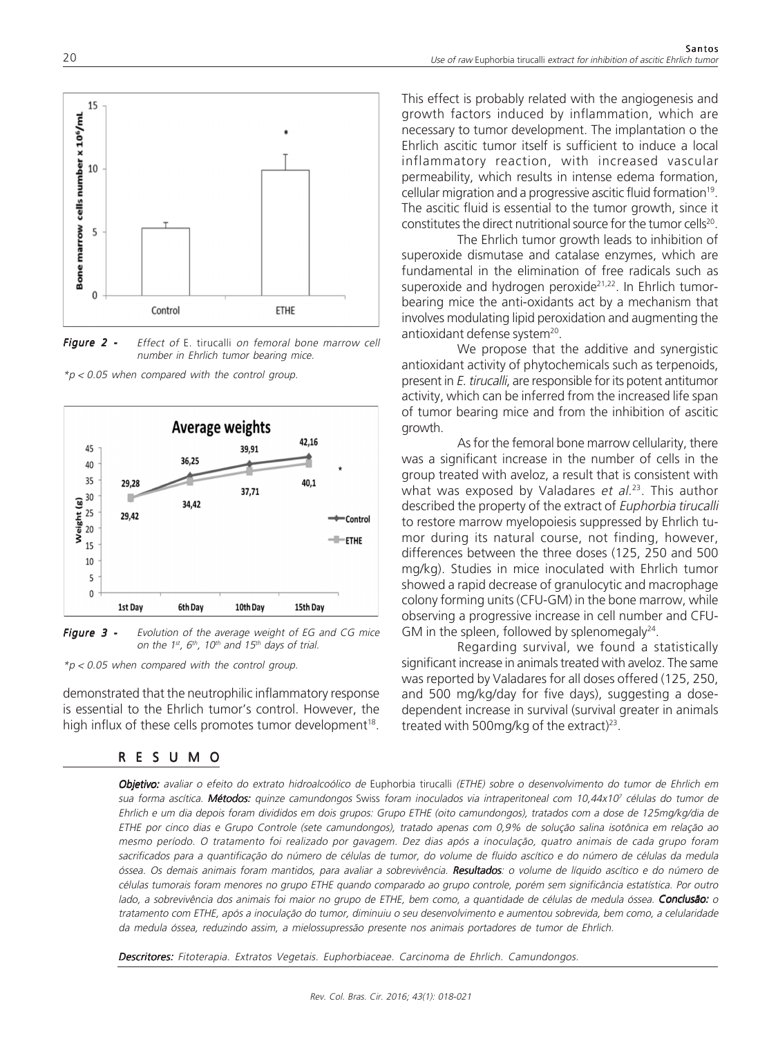

Figure 2 - Effect of E. tirucalli on femoral bone marrow cell number in Ehrlich tumor bearing mice.

 $*p$  < 0.05 when compared with the control group.



**Figure 3 -** Evolution of the average weight of EG and CG mice on the 1st, 6th, 10th and 15th days of trial.

 $*p$  < 0.05 when compared with the control group.

demonstrated that the neutrophilic inflammatory response is essential to the Ehrlich tumor's control. However, the high influx of these cells promotes tumor development<sup>18</sup>.

#### RESUMO

This effect is probably related with the angiogenesis and growth factors induced by inflammation, which are necessary to tumor development. The implantation o the Ehrlich ascitic tumor itself is sufficient to induce a local inflammatory reaction, with increased vascular permeability, which results in intense edema formation, cellular migration and a progressive ascitic fluid formation<sup>19</sup> . The ascitic fluid is essential to the tumor growth, since it constitutes the direct nutritional source for the tumor cells<sup>20</sup>.

The Ehrlich tumor growth leads to inhibition of superoxide dismutase and catalase enzymes, which are fundamental in the elimination of free radicals such as superoxide and hydrogen peroxide<sup>21,22</sup>. In Ehrlich tumorbearing mice the anti-oxidants act by a mechanism that involves modulating lipid peroxidation and augmenting the antioxidant defense system<sup>20</sup>.

We propose that the additive and synergistic antioxidant activity of phytochemicals such as terpenoids, present in E. tirucalli, are responsible for its potent antitumor activity, which can be inferred from the increased life span of tumor bearing mice and from the inhibition of ascitic growth.

As for the femoral bone marrow cellularity, there was a significant increase in the number of cells in the group treated with aveloz, a result that is consistent with what was exposed by Valadares et al.<sup>23</sup>. This author described the property of the extract of Euphorbia tirucalli to restore marrow myelopoiesis suppressed by Ehrlich tumor during its natural course, not finding, however, differences between the three doses (125, 250 and 500 mg/kg). Studies in mice inoculated with Ehrlich tumor showed a rapid decrease of granulocytic and macrophage colony forming units (CFU-GM) in the bone marrow, while observing a progressive increase in cell number and CFU-GM in the spleen, followed by splenomegaly $^{24}$ .

Regarding survival, we found a statistically significant increase in animals treated with aveloz. The same was reported by Valadares for all doses offered (125, 250, and 500 mg/kg/day for five days), suggesting a dosedependent increase in survival (survival greater in animals treated with 500mg/kg of the extract)<sup>23</sup>.

Objetivo: avaliar o efeito do extrato hidroalcoólico de Euphorbia tirucalli (ETHE) sobre o desenvolvimento do tumor de Ehrlich em sua forma ascítica. **Métodos:** quinze camundongos Swiss foram inoculados via intraperitoneal com 10,44x10<sup>7</sup> células do tumor de Ehrlich e um dia depois foram divididos em dois grupos: Grupo ETHE (oito camundongos), tratados com a dose de 125mg/kg/dia de ETHE por cinco dias e Grupo Controle (sete camundongos), tratado apenas com 0,9% de solução salina isotônica em relação ao mesmo período. O tratamento foi realizado por gavagem. Dez dias após a inoculação, quatro animais de cada grupo foram sacrificados para a quantificação do número de células de tumor, do volume de fluido ascítico e do número de células da medula óssea. Os demais animais foram mantidos, para avaliar a sobrevivência. Resultados: o volume de líquido ascítico e do número de células tumorais foram menores no grupo ETHE quando comparado ao grupo controle, porém sem significância estatística. Por outro lado, a sobrevivência dos animais foi maior no grupo de ETHE, bem como, a quantidade de células de medula óssea. Conclusão: o tratamento com ETHE, após a inoculação do tumor, diminuiu o seu desenvolvimento e aumentou sobrevida, bem como, a celularidade da medula óssea, reduzindo assim, a mielossupressão presente nos animais portadores de tumor de Ehrlich.

Descritores: Fitoterapia. Extratos Vegetais. Euphorbiaceae. Carcinoma de Ehrlich. Camundongos.